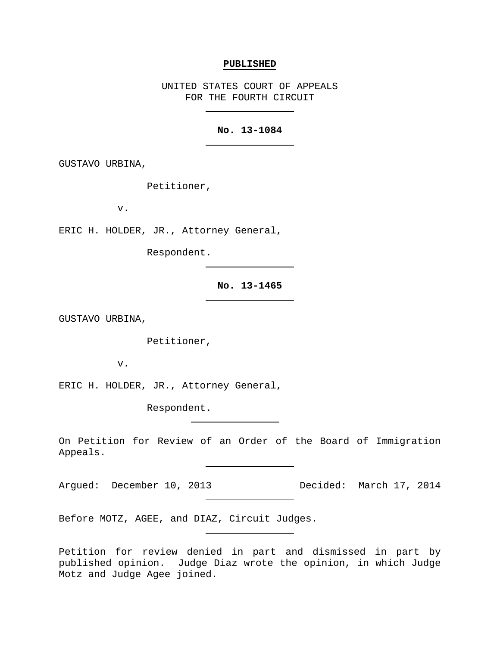#### **PUBLISHED**

UNITED STATES COURT OF APPEALS FOR THE FOURTH CIRCUIT

## **No. 13-1084**

GUSTAVO URBINA,

Petitioner,

v.

ERIC H. HOLDER, JR., Attorney General,

Respondent.

**No. 13-1465**

GUSTAVO URBINA,

Petitioner,

v.

ERIC H. HOLDER, JR., Attorney General,

Respondent.

On Petition for Review of an Order of the Board of Immigration Appeals.

Argued: December 10, 2013 Decided: March 17, 2014

Before MOTZ, AGEE, and DIAZ, Circuit Judges.

Petition for review denied in part and dismissed in part by published opinion. Judge Diaz wrote the opinion, in which Judge Motz and Judge Agee joined.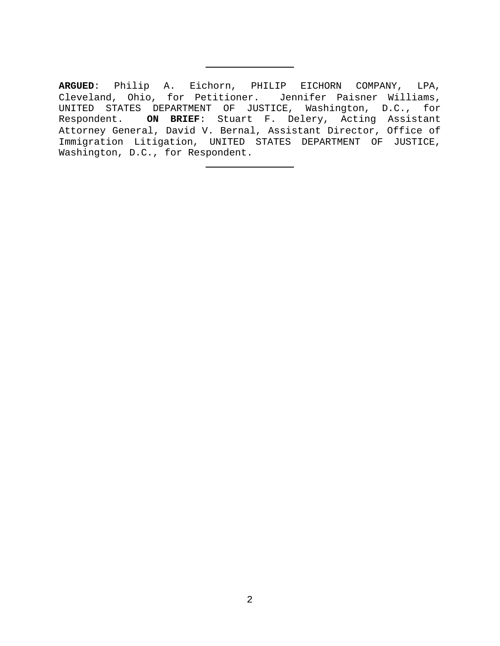**ARGUED**: Philip A. Eichorn, PHILIP EICHORN COMPANY, LPA, Cleveland, Ohio, for Petitioner. Jennifer Paisner Williams, UNITED STATES DEPARTMENT OF JUSTICE, Washington, D.C., for Respondent. **ON BRIEF**: Stuart F. Delery, Acting Assistant Attorney General, David V. Bernal, Assistant Director, Office of Immigration Litigation, UNITED STATES DEPARTMENT OF JUSTICE, Washington, D.C., for Respondent.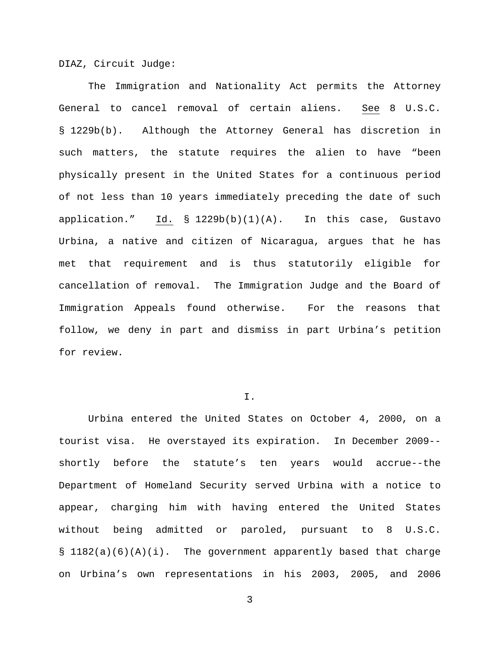DIAZ, Circuit Judge:

The Immigration and Nationality Act permits the Attorney General to cancel removal of certain aliens. See 8 U.S.C. § 1229b(b). Although the Attorney General has discretion in such matters, the statute requires the alien to have "been physically present in the United States for a continuous period of not less than 10 years immediately preceding the date of such application." Id. § 1229b(b)(1)(A). In this case, Gustavo Urbina, a native and citizen of Nicaragua, argues that he has met that requirement and is thus statutorily eligible for cancellation of removal. The Immigration Judge and the Board of Immigration Appeals found otherwise. For the reasons that follow, we deny in part and dismiss in part Urbina's petition for review.

### $T$ .

Urbina entered the United States on October 4, 2000, on a tourist visa. He overstayed its expiration. In December 2009- shortly before the statute's ten years would accrue--the Department of Homeland Security served Urbina with a notice to appear, charging him with having entered the United States without being admitted or paroled, pursuant to 8 U.S.C. § 1182(a)(6)(A)(i). The government apparently based that charge on Urbina's own representations in his 2003, 2005, and 2006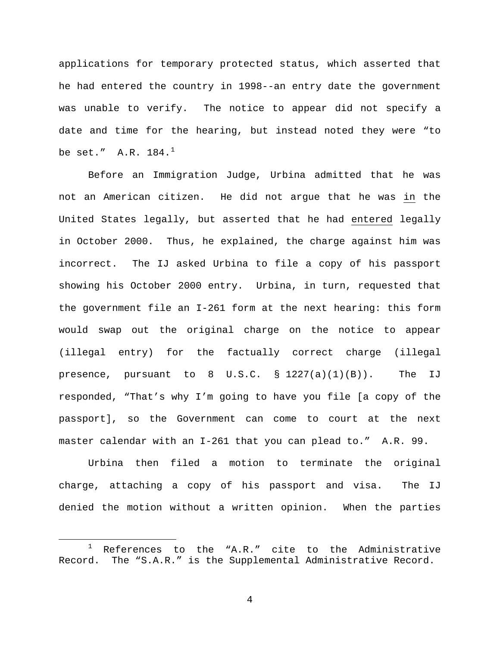applications for temporary protected status, which asserted that he had entered the country in 1998--an entry date the government was unable to verify. The notice to appear did not specify a date and time for the hearing, but instead noted they were "to be set." A.R. [1](#page-3-0)84.<sup>1</sup>

Before an Immigration Judge, Urbina admitted that he was not an American citizen. He did not argue that he was in the United States legally, but asserted that he had entered legally in October 2000. Thus, he explained, the charge against him was incorrect. The IJ asked Urbina to file a copy of his passport showing his October 2000 entry. Urbina, in turn, requested that the government file an I-261 form at the next hearing: this form would swap out the original charge on the notice to appear (illegal entry) for the factually correct charge (illegal presence, pursuant to  $8$  U.S.C.  $\frac{1227(a)(1)(B)}{1}$ . The IJ responded, "That's why I'm going to have you file [a copy of the passport], so the Government can come to court at the next master calendar with an I-261 that you can plead to." A.R. 99.

Urbina then filed a motion to terminate the original charge, attaching a copy of his passport and visa. The IJ denied the motion without a written opinion. When the parties

<span id="page-3-0"></span><sup>&</sup>lt;sup>1</sup> References to the "A.R." cite to the Administrative Record. The "S.A.R." is the Supplemental Administrative Record. The "S.A.R." is the Supplemental Administrative Record.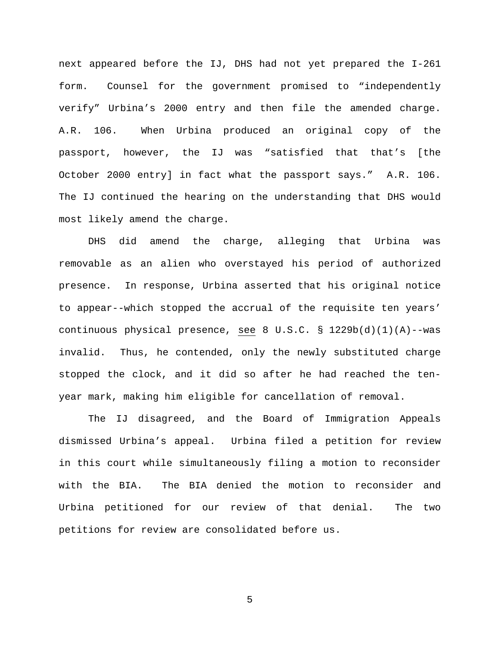next appeared before the IJ, DHS had not yet prepared the I-261 form. Counsel for the government promised to "independently verify" Urbina's 2000 entry and then file the amended charge. A.R. 106. When Urbina produced an original copy of the passport, however, the IJ was "satisfied that that's [the October 2000 entry] in fact what the passport says." A.R. 106. The IJ continued the hearing on the understanding that DHS would most likely amend the charge.

DHS did amend the charge, alleging that Urbina was removable as an alien who overstayed his period of authorized presence. In response, Urbina asserted that his original notice to appear--which stopped the accrual of the requisite ten years' continuous physical presence, see 8 U.S.C. §  $1229b(d)(1)(A)$ --was invalid. Thus, he contended, only the newly substituted charge stopped the clock, and it did so after he had reached the tenyear mark, making him eligible for cancellation of removal.

The IJ disagreed, and the Board of Immigration Appeals dismissed Urbina's appeal. Urbina filed a petition for review in this court while simultaneously filing a motion to reconsider with the BIA. The BIA denied the motion to reconsider and Urbina petitioned for our review of that denial. The two petitions for review are consolidated before us.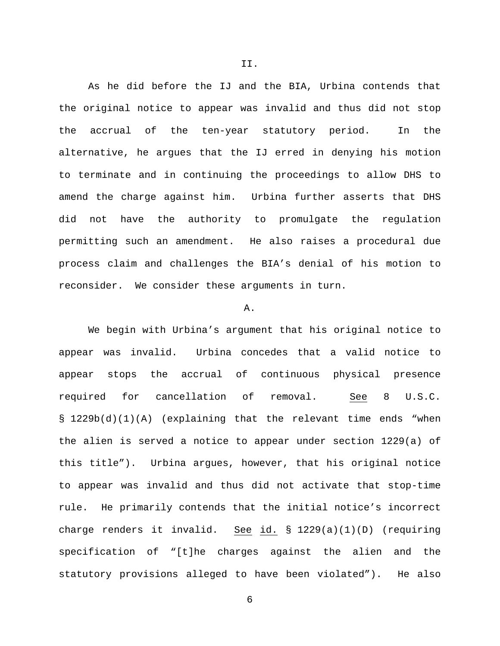As he did before the IJ and the BIA, Urbina contends that the original notice to appear was invalid and thus did not stop the accrual of the ten-year statutory period. In the alternative, he argues that the IJ erred in denying his motion to terminate and in continuing the proceedings to allow DHS to amend the charge against him. Urbina further asserts that DHS did not have the authority to promulgate the regulation permitting such an amendment. He also raises a procedural due process claim and challenges the BIA's denial of his motion to reconsider. We consider these arguments in turn.

#### A.

We begin with Urbina's argument that his original notice to appear was invalid. Urbina concedes that a valid notice to appear stops the accrual of continuous physical presence required for cancellation of removal. See 8 U.S.C. § 1229b(d)(1)(A) (explaining that the relevant time ends "when the alien is served a notice to appear under section 1229(a) of this title"). Urbina argues, however, that his original notice to appear was invalid and thus did not activate that stop-time rule. He primarily contends that the initial notice's incorrect charge renders it invalid. See id. § 1229(a)(1)(D) (requiring specification of "[t]he charges against the alien and the statutory provisions alleged to have been violated"). He also

II.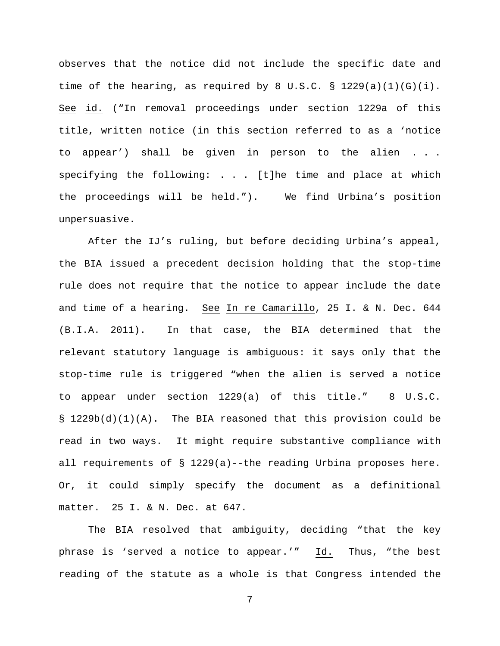observes that the notice did not include the specific date and time of the hearing, as required by 8 U.S.C. § 1229(a)(1)(G)(i). See id. ("In removal proceedings under section 1229a of this title, written notice (in this section referred to as a 'notice to appear') shall be given in person to the alien specifying the following: . . . [t]he time and place at which the proceedings will be held."). We find Urbina's position unpersuasive.

After the IJ's ruling, but before deciding Urbina's appeal, the BIA issued a precedent decision holding that the stop-time rule does not require that the notice to appear include the date and time of a hearing. See In re Camarillo, 25 I. & N. Dec. 644 (B.I.A. 2011). In that case, the BIA determined that the relevant statutory language is ambiguous: it says only that the stop-time rule is triggered "when the alien is served a notice to appear under section 1229(a) of this title." 8 U.S.C. §  $1229b(d)(1)(A)$ . The BIA reasoned that this provision could be read in two ways. It might require substantive compliance with all requirements of § 1229(a)--the reading Urbina proposes here. Or, it could simply specify the document as a definitional matter. 25 I. & N. Dec. at 647.

The BIA resolved that ambiguity, deciding "that the key phrase is 'served a notice to appear.'" Id. Thus, "the best reading of the statute as a whole is that Congress intended the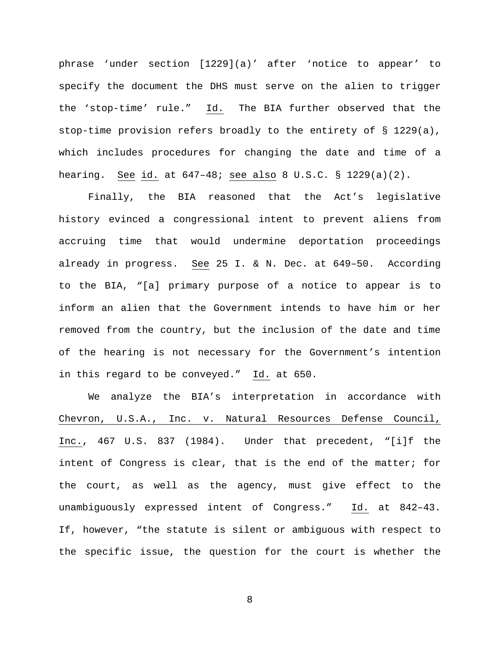phrase 'under section [1229](a)' after 'notice to appear' to specify the document the DHS must serve on the alien to trigger the 'stop-time' rule." Id. The BIA further observed that the stop-time provision refers broadly to the entirety of § 1229(a), which includes procedures for changing the date and time of a hearing. See id. at 647–48; see also 8 U.S.C. § 1229(a)(2).

Finally, the BIA reasoned that the Act's legislative history evinced a congressional intent to prevent aliens from accruing time that would undermine deportation proceedings already in progress. See 25 I. & N. Dec. at 649–50. According to the BIA, "[a] primary purpose of a notice to appear is to inform an alien that the Government intends to have him or her removed from the country, but the inclusion of the date and time of the hearing is not necessary for the Government's intention in this regard to be conveyed." Id. at 650.

We analyze the BIA's interpretation in accordance with Chevron, U.S.A., Inc. v. Natural Resources Defense Council, Inc., 467 U.S. 837 (1984). Under that precedent, "[i]f the intent of Congress is clear, that is the end of the matter; for the court, as well as the agency, must give effect to the unambiguously expressed intent of Congress." Id. at 842–43. If, however, "the statute is silent or ambiguous with respect to the specific issue, the question for the court is whether the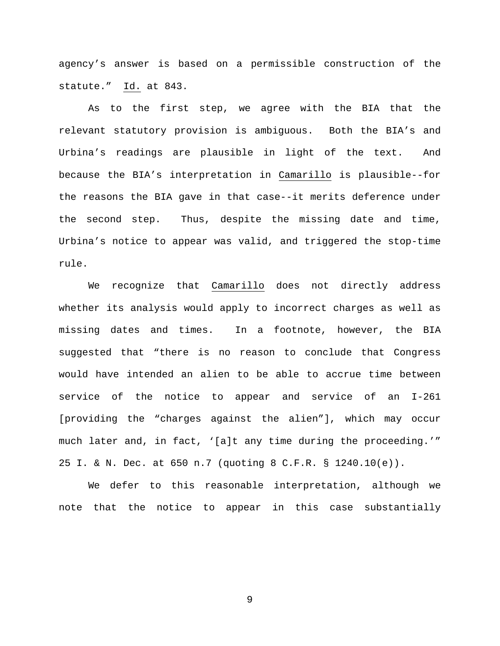agency's answer is based on a permissible construction of the statute." Id. at 843.

As to the first step, we agree with the BIA that the relevant statutory provision is ambiguous. Both the BIA's and Urbina's readings are plausible in light of the text. And because the BIA's interpretation in Camarillo is plausible--for the reasons the BIA gave in that case--it merits deference under the second step. Thus, despite the missing date and time, Urbina's notice to appear was valid, and triggered the stop-time rule.

We recognize that Camarillo does not directly address whether its analysis would apply to incorrect charges as well as missing dates and times. In a footnote, however, the BIA suggested that "there is no reason to conclude that Congress would have intended an alien to be able to accrue time between service of the notice to appear and service of an I-261 [providing the "charges against the alien"], which may occur much later and, in fact, '[a]t any time during the proceeding.'" 25 I. & N. Dec. at 650 n.7 (quoting 8 C.F.R. § 1240.10(e)).

We defer to this reasonable interpretation, although we note that the notice to appear in this case substantially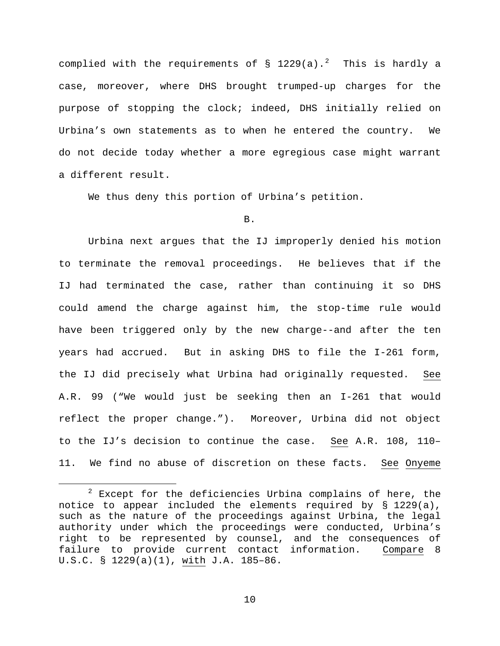complied with the requirements of  $\S$  1[2](#page-9-0)29(a).<sup>2</sup> This is hardly a case, moreover, where DHS brought trumped-up charges for the purpose of stopping the clock; indeed, DHS initially relied on Urbina's own statements as to when he entered the country. We do not decide today whether a more egregious case might warrant a different result.

We thus deny this portion of Urbina's petition.

B.

Urbina next argues that the IJ improperly denied his motion to terminate the removal proceedings. He believes that if the IJ had terminated the case, rather than continuing it so DHS could amend the charge against him, the stop-time rule would have been triggered only by the new charge--and after the ten years had accrued. But in asking DHS to file the I-261 form, the IJ did precisely what Urbina had originally requested. See A.R. 99 ("We would just be seeking then an I-261 that would reflect the proper change."). Moreover, Urbina did not object to the IJ's decision to continue the case. See A.R. 108, 110– 11. We find no abuse of discretion on these facts. See Onyeme

<span id="page-9-0"></span> $2$  Except for the deficiencies Urbina complains of here, the notice to appear included the elements required by § 1229(a), such as the nature of the proceedings against Urbina, the legal authority under which the proceedings were conducted, Urbina's right to be represented by counsel, and the consequences of failure to provide current contact information. Compare 8 U.S.C. § 1229(a)(1), with J.A. 185–86.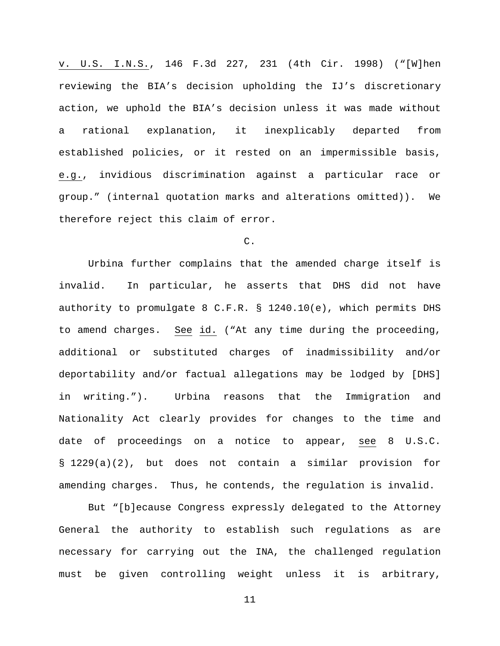v. U.S. I.N.S., 146 F.3d 227, 231 (4th Cir. 1998) ("[W]hen reviewing the BIA's decision upholding the IJ's discretionary action, we uphold the BIA's decision unless it was made without a rational explanation, it inexplicably departed from established policies, or it rested on an impermissible basis, e.g., invidious discrimination against a particular race or group." (internal quotation marks and alterations omitted)). We therefore reject this claim of error.

# C.

Urbina further complains that the amended charge itself is invalid. In particular, he asserts that DHS did not have authority to promulgate 8 C.F.R. § 1240.10(e), which permits DHS to amend charges. See id. ("At any time during the proceeding, additional or substituted charges of inadmissibility and/or deportability and/or factual allegations may be lodged by [DHS] in writing."). Urbina reasons that the Immigration and Nationality Act clearly provides for changes to the time and date of proceedings on a notice to appear, see 8 U.S.C. § 1229(a)(2), but does not contain a similar provision for amending charges. Thus, he contends, the regulation is invalid.

But "[b]ecause Congress expressly delegated to the Attorney General the authority to establish such regulations as are necessary for carrying out the INA, the challenged regulation must be given controlling weight unless it is arbitrary,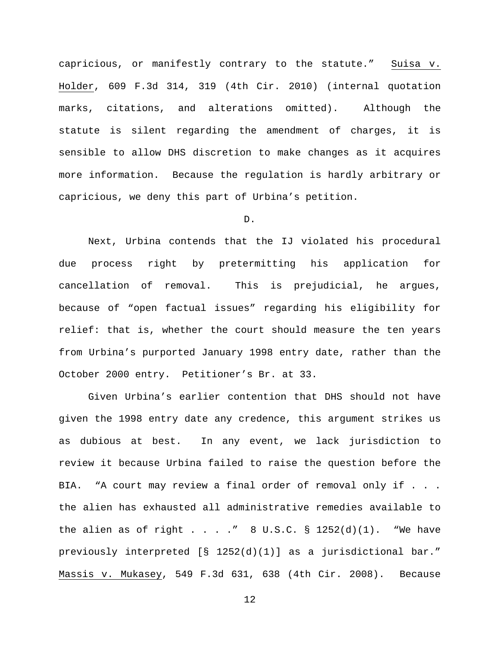capricious, or manifestly contrary to the statute." Suisa v. Holder, 609 F.3d 314, 319 (4th Cir. 2010) (internal quotation marks, citations, and alterations omitted). Although the statute is silent regarding the amendment of charges, it is sensible to allow DHS discretion to make changes as it acquires more information. Because the regulation is hardly arbitrary or capricious, we deny this part of Urbina's petition.

D.

Next, Urbina contends that the IJ violated his procedural due process right by pretermitting his application for cancellation of removal. This is prejudicial, he argues, because of "open factual issues" regarding his eligibility for relief: that is, whether the court should measure the ten years from Urbina's purported January 1998 entry date, rather than the October 2000 entry. Petitioner's Br. at 33.

Given Urbina's earlier contention that DHS should not have given the 1998 entry date any credence, this argument strikes us as dubious at best. In any event, we lack jurisdiction to review it because Urbina failed to raise the question before the BIA. "A court may review a final order of removal only if . . . the alien has exhausted all administrative remedies available to the alien as of right . . . ."  $8 \text{ U.S.C. }$  \$ 1252(d)(1). "We have previously interpreted [§ 1252(d)(1)] as a jurisdictional bar." Massis v. Mukasey, 549 F.3d 631, 638 (4th Cir. 2008). Because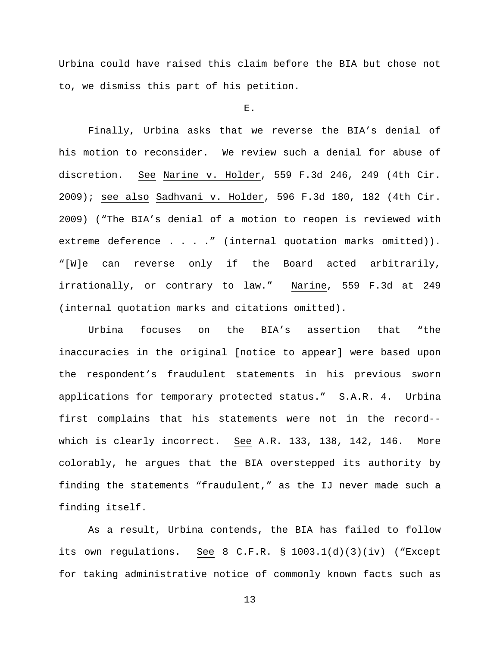Urbina could have raised this claim before the BIA but chose not to, we dismiss this part of his petition.

E.

Finally, Urbina asks that we reverse the BIA's denial of his motion to reconsider. We review such a denial for abuse of discretion. See Narine v. Holder, 559 F.3d 246, 249 (4th Cir. 2009); see also Sadhvani v. Holder, 596 F.3d 180, 182 (4th Cir. 2009) ("The BIA's denial of a motion to reopen is reviewed with extreme deference . . . . " (internal quotation marks omitted)). "[W]e can reverse only if the Board acted arbitrarily, irrationally, or contrary to law." Narine, 559 F.3d at 249 (internal quotation marks and citations omitted).

Urbina focuses on the BIA's assertion that "the inaccuracies in the original [notice to appear] were based upon the respondent's fraudulent statements in his previous sworn applications for temporary protected status." S.A.R. 4. Urbina first complains that his statements were not in the record- which is clearly incorrect. See A.R. 133, 138, 142, 146. More colorably, he argues that the BIA overstepped its authority by finding the statements "fraudulent," as the IJ never made such a finding itself.

As a result, Urbina contends, the BIA has failed to follow its own regulations. See 8 C.F.R. § 1003.1(d)(3)(iv) ("Except for taking administrative notice of commonly known facts such as